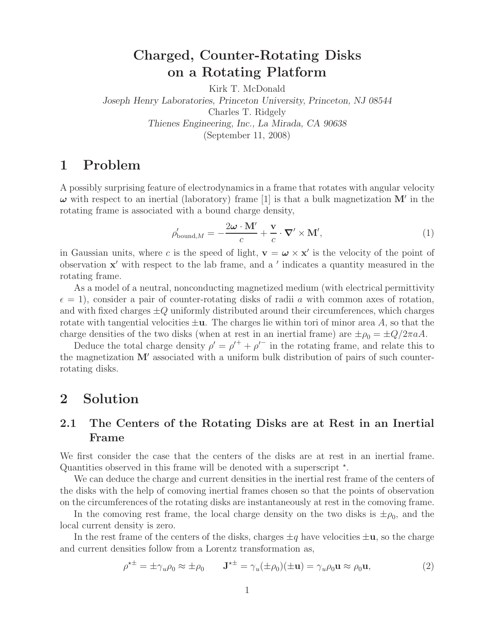## **Charged, Counter-Rotating Disks on a Rotating Platform**

Kirk T. McDonald *Joseph Henry Laboratories, Princeton University, Princeton, NJ 08544* Charles T. Ridgely *Thienes Engineering, Inc., La Mirada, CA 90638* (September 11, 2008)

## **1 Problem**

A possibly surprising feature of electrodynamics in a frame that rotates with angular velocity *ω* with respect to an inertial (laboratory) frame [1] is that a bulk magnetization **M**- in the rotating frame is associated with a bound charge density,

$$
\rho'_{\text{bound},M} = -\frac{2\omega \cdot M'}{c} + \frac{\mathbf{v}}{c} \cdot \nabla' \times \mathbf{M}',\tag{1}
$$

in Gaussian units, where c is the speed of light,  $\mathbf{v} = \boldsymbol{\omega} \times \mathbf{x}'$  is the velocity of the point of observation  $x'$  with respect to the lab frame, and a  $'$  indicates a quantity measured in the rotating frame.

As a model of a neutral, nonconducting magnetized medium (with electrical permittivity  $\epsilon = 1$ , consider a pair of counter-rotating disks of radii a with common axes of rotation, and with fixed charges  $\pm Q$  uniformly distributed around their circumferences, which charges rotate with tangential velocities  $\pm \mathbf{u}$ . The charges lie within tori of minor area A, so that the charge densities of the two disks (when at rest in an inertial frame) are  $\pm \rho_0 = \pm Q/2\pi aA$ .

Deduce the total charge density  $\rho' = {\rho'}^+ + {\rho'}^-$  in the rotating frame, and relate this to the magnetization  $M'$  associated with a uniform bulk distribution of pairs of such counterrotating disks.

## **2 Solution**

#### **2.1 The Centers of the Rotating Disks are at Rest in an Inertial Frame**

We first consider the case that the centers of the disks are at rest in an inertial frame. Quantities observed in this frame will be denoted with a superscript  $*$ .

We can deduce the charge and current densities in the inertial rest frame of the centers of the disks with the help of comoving inertial frames chosen so that the points of observation on the circumferences of the rotating disks are instantaneously at rest in the comoving frame.

In the comoving rest frame, the local charge density on the two disks is  $\pm \rho_0$ , and the local current density is zero.

In the rest frame of the centers of the disks, charges  $\pm q$  have velocities  $\pm \mathbf{u}$ , so the charge and current densities follow from a Lorentz transformation as,

$$
\rho^{\star \pm} = \pm \gamma_u \rho_0 \approx \pm \rho_0 \qquad \mathbf{J}^{\star \pm} = \gamma_u (\pm \rho_0)(\pm \mathbf{u}) = \gamma_u \rho_0 \mathbf{u} \approx \rho_0 \mathbf{u},\tag{2}
$$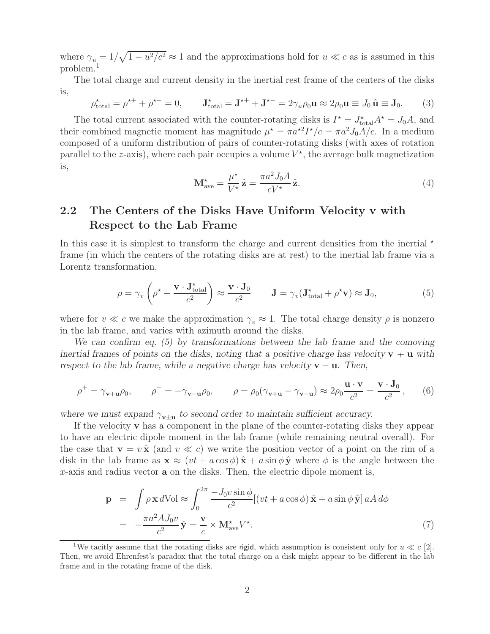where  $\gamma_u = 1/\sqrt{1 - u^2/c^2} \approx 1$  and the approximations hold for  $u \ll c$  as is assumed in this problem.<sup>1</sup>

The total charge and current density in the inertial rest frame of the centers of the disks is,

$$
\rho_{\text{total}}^{\star} = \rho^{\star +} + \rho^{\star -} = 0, \qquad \mathbf{J}_{\text{total}}^{\star} = \mathbf{J}^{\star +} + \mathbf{J}^{\star -} = 2\gamma_u \rho_0 \mathbf{u} \approx 2\rho_0 \mathbf{u} \equiv J_0 \hat{\mathbf{u}} \equiv \mathbf{J}_0. \tag{3}
$$

The total current associated with the counter-rotating disks is  $I^* = J_{total}^* A^* = J_0 A$ , and their combined magnetic moment has magnitude  $\mu^* = \pi a^{2} I^* / c = \pi a^2 J_0 A / c$ . In a medium composed of a uniform distribution of pairs of counter-rotating disks (with axes of rotation parallel to the z-axis), where each pair occupies a volume  $V^*$ , the average bulk magnetization is,

$$
\mathbf{M}_{\text{ave}}^{\star} = \frac{\mu^{\star}}{V^{\star}} \hat{\mathbf{z}} = \frac{\pi a^2 J_0 A}{c V^{\star}} \hat{\mathbf{z}}.
$$
\n(4)

#### **2.2 The Centers of the Disks Have Uniform Velocity v with Respect to the Lab Frame**

In this case it is simplest to transform the charge and current densities from the inertial  $\star$ frame (in which the centers of the rotating disks are at rest) to the inertial lab frame via a Lorentz transformation,

$$
\rho = \gamma_v \left( \rho^{\star} + \frac{\mathbf{v} \cdot \mathbf{J}_{total}^{\star}}{c^2} \right) \approx \frac{\mathbf{v} \cdot \mathbf{J}_0}{c^2} \qquad \mathbf{J} = \gamma_v (\mathbf{J}_{total}^{\star} + \rho^{\star} \mathbf{v}) \approx \mathbf{J}_0,
$$
\n(5)

where for  $v \ll c$  we make the approximation  $\gamma_v \approx 1$ . The total charge density  $\rho$  is nonzero in the lab frame, and varies with azimuth around the disks.

*We can confirm eq. (5) by transformations between the lab frame and the comoving inertial frames of points on the disks, noting that a positive charge has velocity*  $\mathbf{v} + \mathbf{u}$  with *respect to the lab frame, while a negative charge has velocity*  $\mathbf{v} - \mathbf{u}$ *. Then,* 

$$
\rho^+ = \gamma_{\mathbf{v}+\mathbf{u}}\rho_0, \qquad \rho^- = -\gamma_{\mathbf{v}-\mathbf{u}}\rho_0, \qquad \rho = \rho_0(\gamma_{\mathbf{v}+\mathbf{u}} - \gamma_{\mathbf{v}-\mathbf{u}}) \approx 2\rho_0 \frac{\mathbf{u} \cdot \mathbf{v}}{c^2} = \frac{\mathbf{v} \cdot \mathbf{J}_0}{c^2}, \qquad (6)
$$

where we must expand  $\gamma_{\mathbf{v}+\mathbf{u}}$  to second order to maintain sufficient accuracy.

If the velocity **v** has a component in the plane of the counter-rotating disks they appear to have an electric dipole moment in the lab frame (while remaining neutral overall). For the case that  $\mathbf{v} = v \hat{\mathbf{x}}$  (and  $v \ll c$ ) we write the position vector of a point on the rim of a disk in the lab frame as  $\mathbf{x} \approx (vt + a \cos \phi) \hat{\mathbf{x}} + a \sin \phi \hat{\mathbf{y}}$  where  $\phi$  is the angle between the x-axis and radius vector **a** on the disks. Then, the electric dipole moment is,

$$
\mathbf{p} = \int \rho \mathbf{x} dV \, \mathrm{d}V = \int_0^{2\pi} \frac{-J_0 v \sin \phi}{c^2} [(vt + a \cos \phi) \hat{\mathbf{x}} + a \sin \phi \hat{\mathbf{y}}] a A d\phi
$$

$$
= -\frac{\pi a^2 A J_0 v}{c^2} \hat{\mathbf{y}} = \frac{\mathbf{v}}{c} \times \mathbf{M}_{\text{ave}}^{\star} V^{\star}.
$$
 (7)

<sup>&</sup>lt;sup>1</sup>We tacitly assume that the rotating disks are rigid, which assumption is consistent only for  $u \ll c$  [2]. Then, we avoid Ehrenfest's paradox that the total charge on a disk might appear to be different in the lab frame and in the rotating frame of the disk.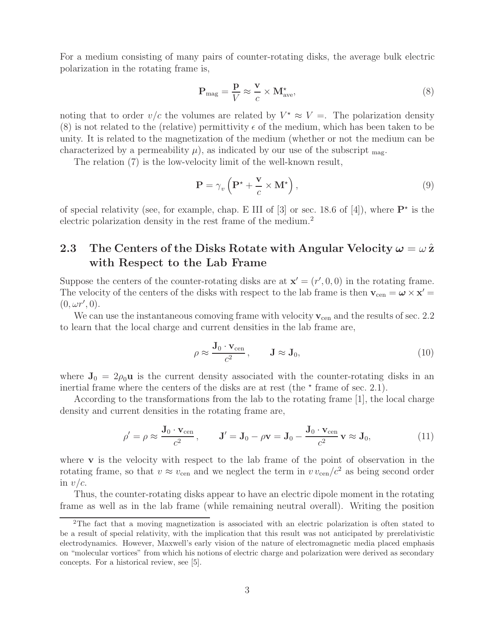For a medium consisting of many pairs of counter-rotating disks, the average bulk electric polarization in the rotating frame is,

$$
\mathbf{P}_{\text{mag}} = \frac{\mathbf{p}}{V} \approx \frac{\mathbf{v}}{c} \times \mathbf{M}_{\text{ave}}^{\star},\tag{8}
$$

noting that to order  $v/c$  the volumes are related by  $V^* \approx V =$ . The polarization density (8) is not related to the (relative) permittivity  $\epsilon$  of the medium, which has been taken to be unity. It is related to the magnetization of the medium (whether or not the medium can be characterized by a permeability  $\mu$ ), as indicated by our use of the subscript  $_{\text{mag}}$ .

The relation (7) is the low-velocity limit of the well-known result,

$$
\mathbf{P} = \gamma_v \left( \mathbf{P}^{\star} + \frac{\mathbf{v}}{c} \times \mathbf{M}^{\star} \right),\tag{9}
$$

of special relativity (see, for example, chap. E III of  $[3]$  or sec. 18.6 of  $[4]$ ), where  $\mathbf{P}^*$  is the electric polarization density in the rest frame of the medium.<sup>2</sup>

#### **2.3** The Centers of the Disks Rotate with Angular Velocity  $\omega = \omega \hat{z}$ **with Respect to the Lab Frame**

Suppose the centers of the counter-rotating disks are at  $\mathbf{x}' = (r', 0, 0)$  in the rotating frame. The velocity of the centers of the disks with respect to the lab frame is then  $\mathbf{v}_{cen} = \boldsymbol{\omega} \times \mathbf{x}' =$  $(0, \omega r', 0).$ 

We can use the instantaneous comoving frame with velocity  $v_{\rm cen}$  and the results of sec. 2.2 to learn that the local charge and current densities in the lab frame are,

$$
\rho \approx \frac{\mathbf{J}_0 \cdot \mathbf{v}_{\text{cen}}}{c^2}, \qquad \mathbf{J} \approx \mathbf{J}_0,\tag{10}
$$

where  $J_0 = 2\rho_0 u$  is the current density associated with the counter-rotating disks in an inertial frame where the centers of the disks are at rest (the  $*$  frame of sec. 2.1).

According to the transformations from the lab to the rotating frame [1], the local charge density and current densities in the rotating frame are,

$$
\rho' = \rho \approx \frac{\mathbf{J}_0 \cdot \mathbf{v}_{\text{cen}}}{c^2}, \qquad \mathbf{J}' = \mathbf{J}_0 - \rho \mathbf{v} = \mathbf{J}_0 - \frac{\mathbf{J}_0 \cdot \mathbf{v}_{\text{cen}}}{c^2} \mathbf{v} \approx \mathbf{J}_0,
$$
\n(11)

where **v** is the velocity with respect to the lab frame of the point of observation in the rotating frame, so that  $v \approx v_{\text{cen}}$  and we neglect the term in  $v v_{\text{cen}}/c^2$  as being second order in  $v/c$ .

Thus, the counter-rotating disks appear to have an electric dipole moment in the rotating frame as well as in the lab frame (while remaining neutral overall). Writing the position

<sup>2</sup>The fact that a moving magnetization is associated with an electric polarization is often stated to be a result of special relativity, with the implication that this result was not anticipated by prerelativistic electrodynamics. However, Maxwell's early vision of the nature of electromagnetic media placed emphasis on "molecular vortices" from which his notions of electric charge and polarization were derived as secondary concepts. For a historical review, see [5].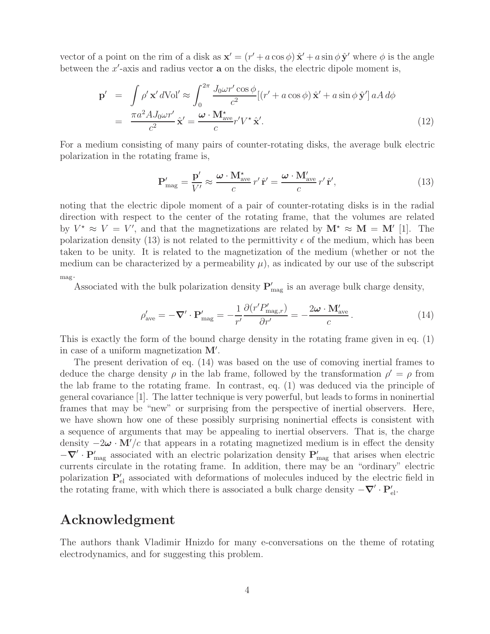vector of a point on the rim of a disk as  $\mathbf{x}' = (r' + a\cos\phi)\hat{\mathbf{x}}' + a\sin\phi\hat{\mathbf{y}}'$  where  $\phi$  is the angle between the  $x'$ -axis and radius vector  $a$  on the disks, the electric dipole moment is,

$$
\mathbf{p}' = \int \rho' \mathbf{x}' d\text{Vol}' \approx \int_0^{2\pi} \frac{J_0 \omega r' \cos \phi}{c^2} [(r' + a \cos \phi) \hat{\mathbf{x}}' + a \sin \phi \hat{\mathbf{y}}'] aA d\phi
$$

$$
= \frac{\pi a^2 A J_0 \omega r'}{c^2} \hat{\mathbf{x}}' = \frac{\boldsymbol{\omega} \cdot \mathbf{M}_{\text{ave}}^*}{c} r' V^* \hat{\mathbf{x}}'. \tag{12}
$$

For a medium consisting of many pairs of counter-rotating disks, the average bulk electric polarization in the rotating frame is,

$$
\mathbf{P}'_{\text{mag}} = \frac{\mathbf{p}'}{V'} \approx \frac{\boldsymbol{\omega} \cdot \mathbf{M}_{\text{ave}}^{\star}}{c} r' \hat{\mathbf{r}}' = \frac{\boldsymbol{\omega} \cdot \mathbf{M}_{\text{ave}}'}{c} r' \hat{\mathbf{r}}',
$$
(13)

noting that the electric dipole moment of a pair of counter-rotating disks is in the radial direction with respect to the center of the rotating frame, that the volumes are related by  $V^* \approx V = V'$ , and that the magnetizations are related by  $\mathbf{M}^* \approx \mathbf{M} = \mathbf{M}'$  [1]. The polarization density (13) is not related to the permittivity  $\epsilon$  of the medium, which has been taken to be unity. It is related to the magnetization of the medium (whether or not the medium can be characterized by a permeability  $\mu$ , as indicated by our use of the subscript mag.

Associated with the bulk polarization density  $P'_{mag}$  is an average bulk charge density,

$$
\rho'_{\text{ave}} = -\nabla' \cdot \mathbf{P}'_{\text{mag}} = -\frac{1}{r'} \frac{\partial (r' P'_{\text{mag},r})}{\partial r'} = -\frac{2\omega \cdot \mathbf{M}'_{\text{ave}}}{c} \,. \tag{14}
$$

This is exactly the form of the bound charge density in the rotating frame given in eq. (1) in case of a uniform magnetization  $M'$ .

The present derivation of eq. (14) was based on the use of comoving inertial frames to deduce the charge density  $\rho$  in the lab frame, followed by the transformation  $\rho' = \rho$  from the lab frame to the rotating frame. In contrast, eq. (1) was deduced via the principle of general covariance [1]. The latter technique is very powerful, but leads to forms in noninertial frames that may be "new" or surprising from the perspective of inertial observers. Here, we have shown how one of these possibly surprising noninertial effects is consistent with a sequence of arguments that may be appealing to inertial observers. That is, the charge density  $-2\omega \cdot M'/c$  that appears in a rotating magnetized medium is in effect the density  $-\nabla' \cdot \mathbf{P}'_{\text{mag}}$  associated with an electric polarization density  $\mathbf{P}'_{\text{mag}}$  that arises when electric currents circulate in the rotating frame. In addition, there may be an "ordinary" electric polarization  $P'_{el}$  associated with deformations of molecules induced by the electric field in the rotating frame, with which there is associated a bulk charge density  $-\nabla' \cdot \mathbf{P}_{\text{el}}'$ .

### **Acknowledgment**

The authors thank Vladimir Hnizdo for many e-conversations on the theme of rotating electrodynamics, and for suggesting this problem.